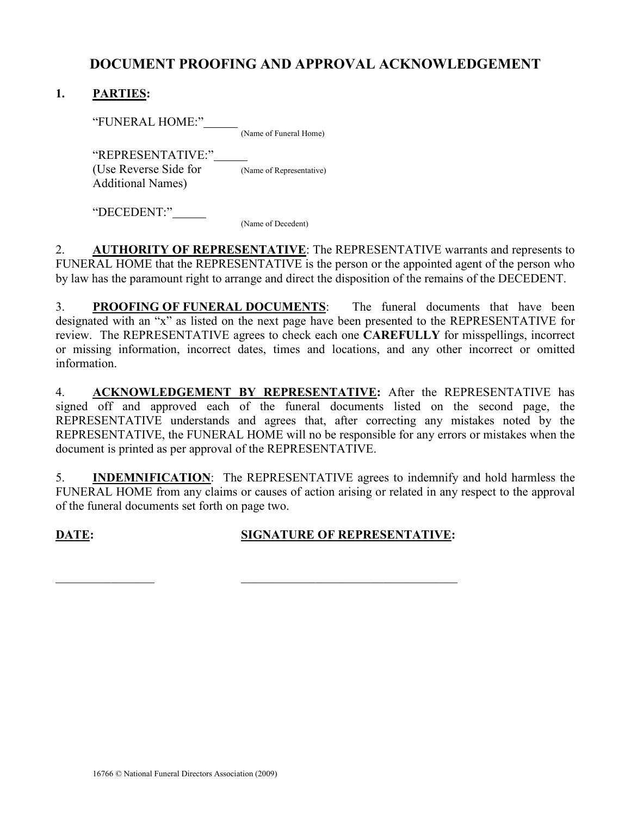## DOCUMENT PROOFING AND APPROVAL ACKNOWLEDGEMENT

## 1. PARTIES:

"FUNERAL HOME:" (Name of Funeral Home)

"REPRESENTATIVE:" (Use Reverse Side for (Name of Representative) Additional Names)

"DECEDENT:"

(Name of Decedent)

2. AUTHORITY OF REPRESENTATIVE: The REPRESENTATIVE warrants and represents to FUNERAL HOME that the REPRESENTATIVE is the person or the appointed agent of the person who by law has the paramount right to arrange and direct the disposition of the remains of the DECEDENT.

3. PROOFING OF FUNERAL DOCUMENTS: The funeral documents that have been designated with an "x" as listed on the next page have been presented to the REPRESENTATIVE for review. The REPRESENTATIVE agrees to check each one CAREFULLY for misspellings, incorrect or missing information, incorrect dates, times and locations, and any other incorrect or omitted information.

4. ACKNOWLEDGEMENT BY REPRESENTATIVE: After the REPRESENTATIVE has signed off and approved each of the funeral documents listed on the second page, the REPRESENTATIVE understands and agrees that, after correcting any mistakes noted by the REPRESENTATIVE, the FUNERAL HOME will no be responsible for any errors or mistakes when the document is printed as per approval of the REPRESENTATIVE.

5. INDEMNIFICATION: The REPRESENTATIVE agrees to indemnify and hold harmless the FUNERAL HOME from any claims or causes of action arising or related in any respect to the approval of the funeral documents set forth on page two.

## DATE: SIGNATURE OF REPRESENTATIVE:

 $\_$  , and the set of the set of the set of the set of the set of the set of the set of the set of the set of the set of the set of the set of the set of the set of the set of the set of the set of the set of the set of th